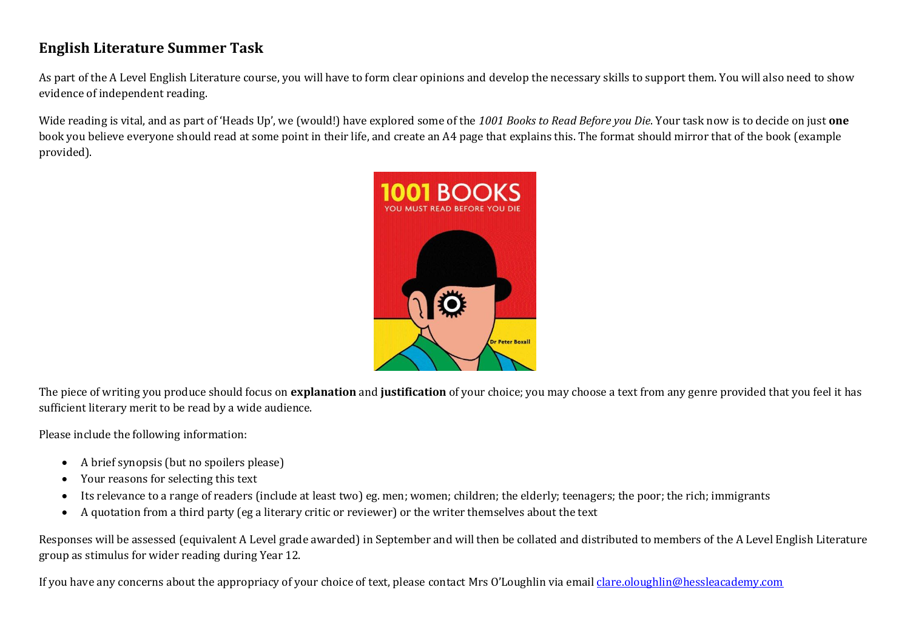## **English Literature Summer Task**

As part of the A Level English Literature course, you will have to form clear opinions and develop the necessary skills to support them. You will also need to show evidence of independent reading.

Wide reading is vital, and as part of 'Heads Up', we (would!) have explored some of the *1001 Books to Read Before you Die*. Your task now is to decide on just **one**  book you believe everyone should read at some point in their life, and create an A4 page that explains this. The format should mirror that of the book (example provided).



The piece of writing you produce should focus on **explanation** and **justification** of your choice; you may choose a text from any genre provided that you feel it has sufficient literary merit to be read by a wide audience.

Please include the following information:

- A brief synopsis (but no spoilers please)
- Your reasons for selecting this text
- Its relevance to a range of readers (include at least two) eg. men; women; children; the elderly; teenagers; the poor; the rich; immigrants
- A quotation from a third party (eg a literary critic or reviewer) or the writer themselves about the text

Responses will be assessed (equivalent A Level grade awarded) in September and will then be collated and distributed to members of the A Level English Literature group as stimulus for wider reading during Year 12.

If you have any concerns about the appropriacy of your choice of text, please contact Mrs O'Loughlin via email [clare.oloughlin@hessleacademy.com](mailto:coloughlin@hesslefederation.com)